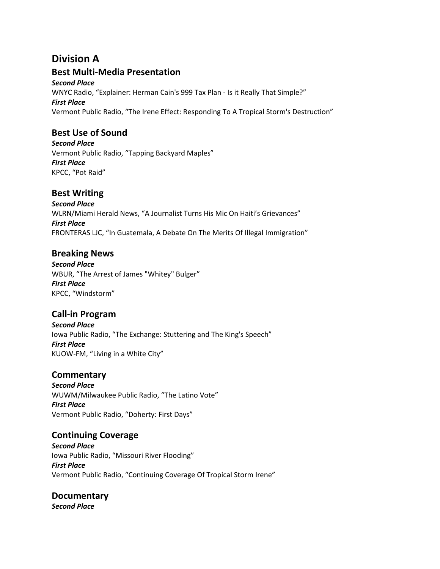## **Division A**

## **Best Multi-Media Presentation**

*Second Place*  WNYC Radio, "Explainer: Herman Cain's 999 Tax Plan - Is it Really That Simple?" *First Place*  Vermont Public Radio, "The Irene Effect: Responding To A Tropical Storm's Destruction"

## **Best Use of Sound**

*Second Place*  Vermont Public Radio, "Tapping Backyard Maples" *First Place*  KPCC, "Pot Raid"

## **Best Writing**

*Second Place*  WLRN/Miami Herald News, "A Journalist Turns His Mic On Haiti's Grievances" *First Place*  FRONTERAS LJC, "In Guatemala, A Debate On The Merits Of Illegal Immigration"

## **Breaking News**

*Second Place*  WBUR, "The Arrest of James "Whitey" Bulger" *First Place*  KPCC, "Windstorm"

## **Call-in Program**

*Second Place*  Iowa Public Radio, "The Exchange: Stuttering and The King's Speech" *First Place*  KUOW-FM, "Living in a White City"

### **Commentary**

*Second Place*  WUWM/Milwaukee Public Radio, "The Latino Vote" *First Place*  Vermont Public Radio, "Doherty: First Days"

### **Continuing Coverage**

*Second Place*  Iowa Public Radio, "Missouri River Flooding" *First Place*  Vermont Public Radio, "Continuing Coverage Of Tropical Storm Irene"

# **Documentary**

*Second Place*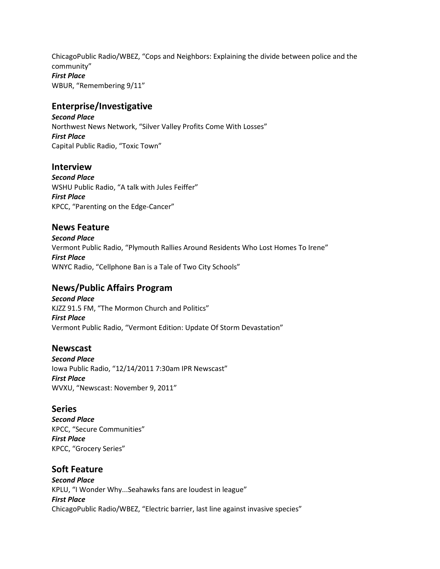ChicagoPublic Radio/WBEZ, "Cops and Neighbors: Explaining the divide between police and the community" *First Place*  WBUR, "Remembering 9/11"

### **Enterprise/Investigative**

*Second Place*  Northwest News Network, "Silver Valley Profits Come With Losses" *First Place*  Capital Public Radio, "Toxic Town"

#### **Interview**

*Second Place*  WSHU Public Radio, "A talk with Jules Feiffer" *First Place*  KPCC, "Parenting on the Edge-Cancer"

#### **News Feature**

*Second Place*  Vermont Public Radio, "Plymouth Rallies Around Residents Who Lost Homes To Irene" *First Place*  WNYC Radio, "Cellphone Ban is a Tale of Two City Schools"

#### **News/Public Affairs Program**

*Second Place*  KJZZ 91.5 FM, "The Mormon Church and Politics" *First Place*  Vermont Public Radio, "Vermont Edition: Update Of Storm Devastation"

#### **Newscast**

*Second Place*  Iowa Public Radio, "12/14/2011 7:30am IPR Newscast" *First Place*  WVXU, "Newscast: November 9, 2011"

#### **Series**

*Second Place*  KPCC, "Secure Communities" *First Place*  KPCC, "Grocery Series"

#### **Soft Feature**

*Second Place*  KPLU, "I Wonder Why...Seahawks fans are loudest in league" *First Place*  ChicagoPublic Radio/WBEZ, "Electric barrier, last line against invasive species"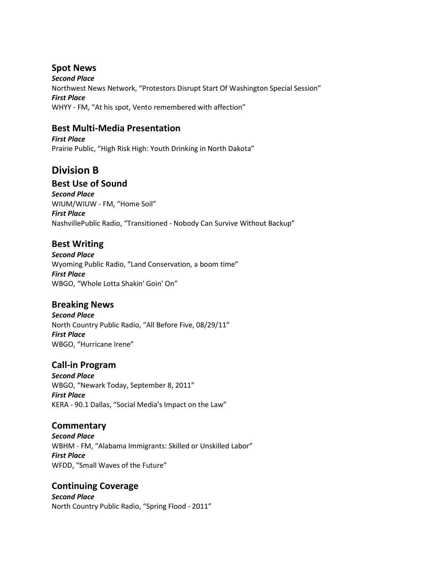## **Spot News**

*Second Place*  Northwest News Network, "Protestors Disrupt Start Of Washington Special Session" *First Place*  WHYY - FM, "At his spot, Vento remembered with affection"

## **Best Multi-Media Presentation**

*First Place*  Prairie Public, "High Risk High: Youth Drinking in North Dakota"

## **Division B**

## **Best Use of Sound**

*Second Place*  WIUM/WIUW - FM, "Home Soil" *First Place*  NashvillePublic Radio, "Transitioned - Nobody Can Survive Without Backup"

## **Best Writing**

*Second Place*  Wyoming Public Radio, "Land Conservation, a boom time" *First Place*  WBGO, "Whole Lotta Shakin' Goin' On"

### **Breaking News**

*Second Place*  North Country Public Radio, "All Before Five, 08/29/11" *First Place*  WBGO, "Hurricane Irene"

### **Call-in Program**

*Second Place*  WBGO, "Newark Today, September 8, 2011" *First Place*  KERA - 90.1 Dallas, "Social Media's Impact on the Law"

### **Commentary**

*Second Place*  WBHM - FM, "Alabama Immigrants: Skilled or Unskilled Labor" *First Place*  WFDD, "Small Waves of the Future"

### **Continuing Coverage**

*Second Place*  North Country Public Radio, "Spring Flood - 2011"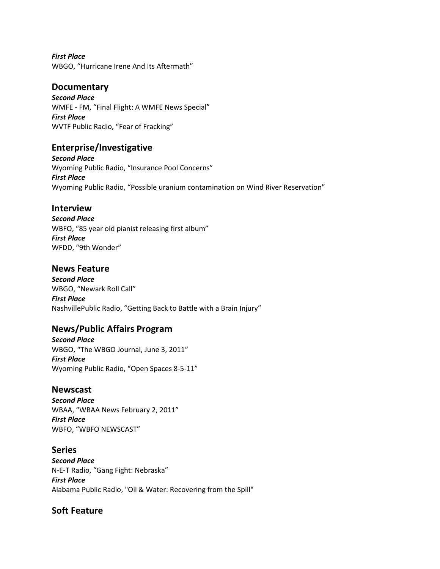*First Place*  WBGO, "Hurricane Irene And Its Aftermath"

#### **Documentary**

*Second Place*  WMFE - FM, "Final Flight: A WMFE News Special" *First Place*  WVTF Public Radio, "Fear of Fracking"

#### **Enterprise/Investigative**

*Second Place*  Wyoming Public Radio, "Insurance Pool Concerns" *First Place*  Wyoming Public Radio, "Possible uranium contamination on Wind River Reservation"

#### **Interview**

*Second Place*  WBFO, "85 year old pianist releasing first album" *First Place*  WFDD, "9th Wonder"

#### **News Feature**

*Second Place*  WBGO, "Newark Roll Call" *First Place*  NashvillePublic Radio, "Getting Back to Battle with a Brain Injury"

### **News/Public Affairs Program**

*Second Place*  WBGO, "The WBGO Journal, June 3, 2011" *First Place*  Wyoming Public Radio, "Open Spaces 8-5-11"

#### **Newscast**

*Second Place*  WBAA, "WBAA News February 2, 2011" *First Place*  WBFO, "WBFO NEWSCAST"

**Series**  *Second Place*  N-E-T Radio, "Gang Fight: Nebraska" *First Place*  Alabama Public Radio, "Oil & Water: Recovering from the Spill"

#### **Soft Feature**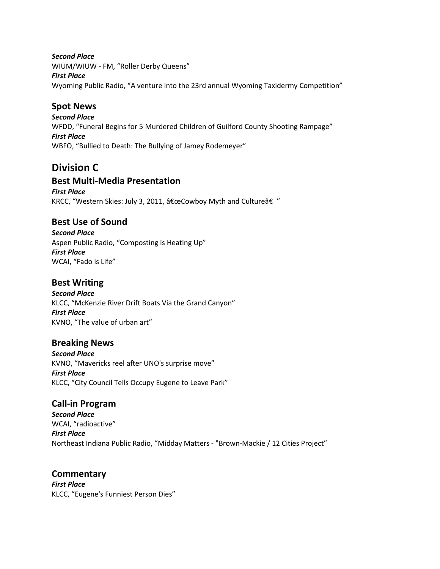#### *Second Place*

WIUM/WIUW - FM, "Roller Derby Queens" *First Place*  Wyoming Public Radio, "A venture into the 23rd annual Wyoming Taxidermy Competition"

## **Spot News**

*Second Place*  WFDD, "Funeral Begins for 5 Murdered Children of Guilford County Shooting Rampage" *First Place*  WBFO, "Bullied to Death: The Bullying of Jamey Rodemeyer"

## **Division C**

### **Best Multi-Media Presentation**

*First Place*  KRCC, "Western Skies: July 3, 2011, "Cowboy Myth and Culture†"

## **Best Use of Sound**

*Second Place*  Aspen Public Radio, "Composting is Heating Up" *First Place*  WCAI, "Fado is Life"

#### **Best Writing**

*Second Place*  KLCC, "McKenzie River Drift Boats Via the Grand Canyon" *First Place*  KVNO, "The value of urban art"

### **Breaking News**

*Second Place*  KVNO, "Mavericks reel after UNO's surprise move" *First Place*  KLCC, "City Council Tells Occupy Eugene to Leave Park"

### **Call-in Program**

*Second Place*  WCAI, "radioactive" *First Place*  Northeast Indiana Public Radio, "Midday Matters - "Brown-Mackie / 12 Cities Project"

**Commentary**  *First Place*  KLCC, "Eugene's Funniest Person Dies"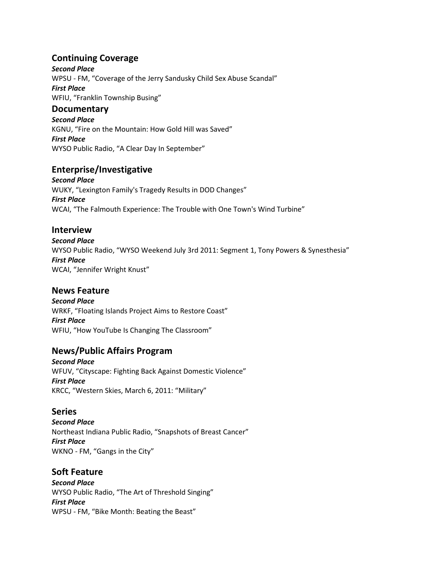## **Continuing Coverage**

*Second Place*  WPSU - FM, "Coverage of the Jerry Sandusky Child Sex Abuse Scandal" *First Place*  WFIU, "Franklin Township Busing"

#### **Documentary**

*Second Place*  KGNU, "Fire on the Mountain: How Gold Hill was Saved" *First Place*  WYSO Public Radio, "A Clear Day In September"

### **Enterprise/Investigative**

*Second Place*  WUKY, "Lexington Family's Tragedy Results in DOD Changes" *First Place*  WCAI, "The Falmouth Experience: The Trouble with One Town's Wind Turbine"

#### **Interview**

*Second Place*  WYSO Public Radio, "WYSO Weekend July 3rd 2011: Segment 1, Tony Powers & Synesthesia" *First Place*  WCAI, "Jennifer Wright Knust"

#### **News Feature**

*Second Place*  WRKF, "Floating Islands Project Aims to Restore Coast" *First Place*  WFIU, "How YouTube Is Changing The Classroom"

### **News/Public Affairs Program**

*Second Place*  WFUV, "Cityscape: Fighting Back Against Domestic Violence" *First Place*  KRCC, "Western Skies, March 6, 2011: "Military"

### **Series**

*Second Place*  Northeast Indiana Public Radio, "Snapshots of Breast Cancer" *First Place*  WKNO - FM, "Gangs in the City"

#### **Soft Feature**

*Second Place*  WYSO Public Radio, "The Art of Threshold Singing" *First Place*  WPSU - FM, "Bike Month: Beating the Beast"